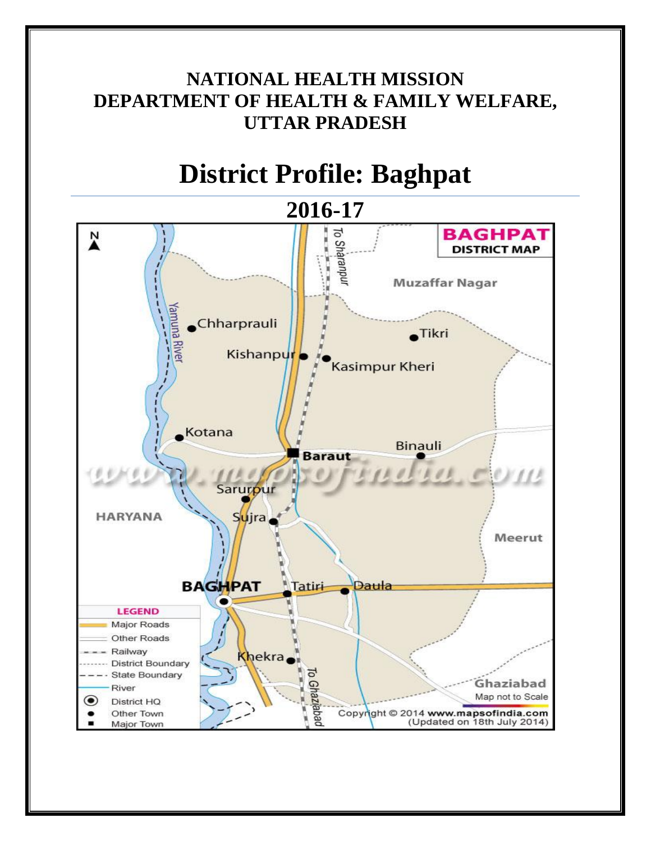# **NATIONAL HEALTH MISSION DEPARTMENT OF HEALTH & FAMILY WELFARE, UTTAR PRADESH**

# **District Profile: Baghpat**

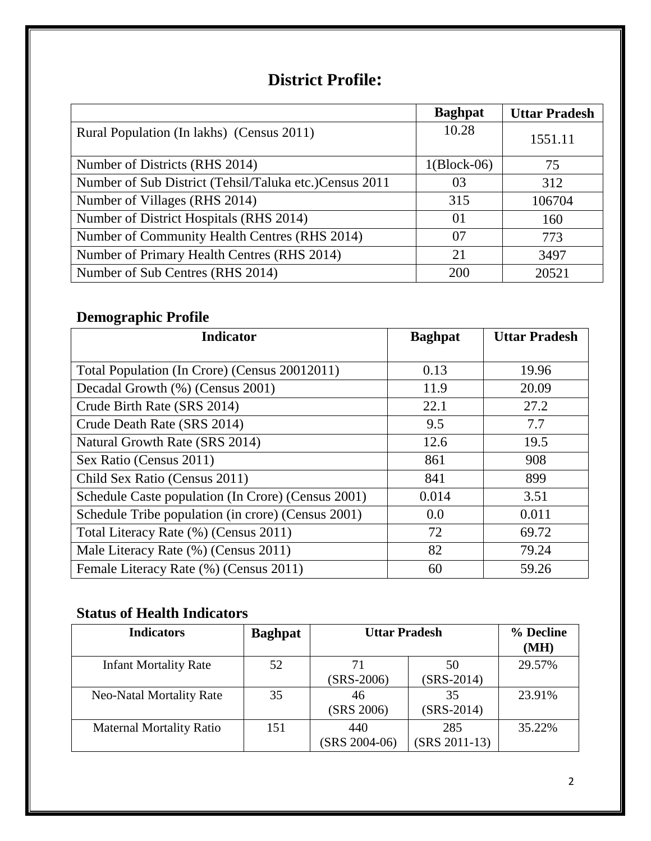# **District Profile:**

|                                                        | <b>Baghpat</b> | <b>Uttar Pradesh</b> |
|--------------------------------------------------------|----------------|----------------------|
| Rural Population (In lakhs) (Census 2011)              | 10.28          | 1551.11              |
| Number of Districts (RHS 2014)                         | $1(Block-06)$  | 75                   |
| Number of Sub District (Tehsil/Taluka etc.)Census 2011 | 03             | 312                  |
| Number of Villages (RHS 2014)                          | 315            | 106704               |
| Number of District Hospitals (RHS 2014)                | 01             | 160                  |
| Number of Community Health Centres (RHS 2014)          | 07             | 773                  |
| Number of Primary Health Centres (RHS 2014)            | 21             | 3497                 |
| Number of Sub Centres (RHS 2014)                       | 200            | 20521                |

# **Demographic Profile**

| <b>Indicator</b>                                   | <b>Baghpat</b> | <b>Uttar Pradesh</b> |
|----------------------------------------------------|----------------|----------------------|
|                                                    |                |                      |
| Total Population (In Crore) (Census 20012011)      | 0.13           | 19.96                |
| Decadal Growth (%) (Census 2001)                   | 11.9           | 20.09                |
| Crude Birth Rate (SRS 2014)                        | 22.1           | 27.2                 |
| Crude Death Rate (SRS 2014)                        | 9.5            | 7.7                  |
| Natural Growth Rate (SRS 2014)                     | 12.6           | 19.5                 |
| Sex Ratio (Census 2011)                            | 861            | 908                  |
| Child Sex Ratio (Census 2011)                      | 841            | 899                  |
| Schedule Caste population (In Crore) (Census 2001) | 0.014          | 3.51                 |
| Schedule Tribe population (in crore) (Census 2001) | 0.0            | 0.011                |
| Total Literacy Rate (%) (Census 2011)              | 72             | 69.72                |
| Male Literacy Rate (%) (Census 2011)               | 82             | 79.24                |
| Female Literacy Rate (%) (Census 2011)             | 60             | 59.26                |

## **Status of Health Indicators**

| <b>Indicators</b>               | <b>Baghpat</b> | <b>Uttar Pradesh</b>   |                        | % Decline<br>(MH) |
|---------------------------------|----------------|------------------------|------------------------|-------------------|
| <b>Infant Mortality Rate</b>    | 52             | 71<br>$(SRS-2006)$     | 50<br>$(SRS-2014)$     | 29.57%            |
| <b>Neo-Natal Mortality Rate</b> | 35             | 46<br>(SRS 2006)       | 35<br>$(SRS-2014)$     | 23.91%            |
| <b>Maternal Mortality Ratio</b> | 151            | 440<br>$(SRS 2004-06)$ | 285<br>$(SRS 2011-13)$ | 35.22%            |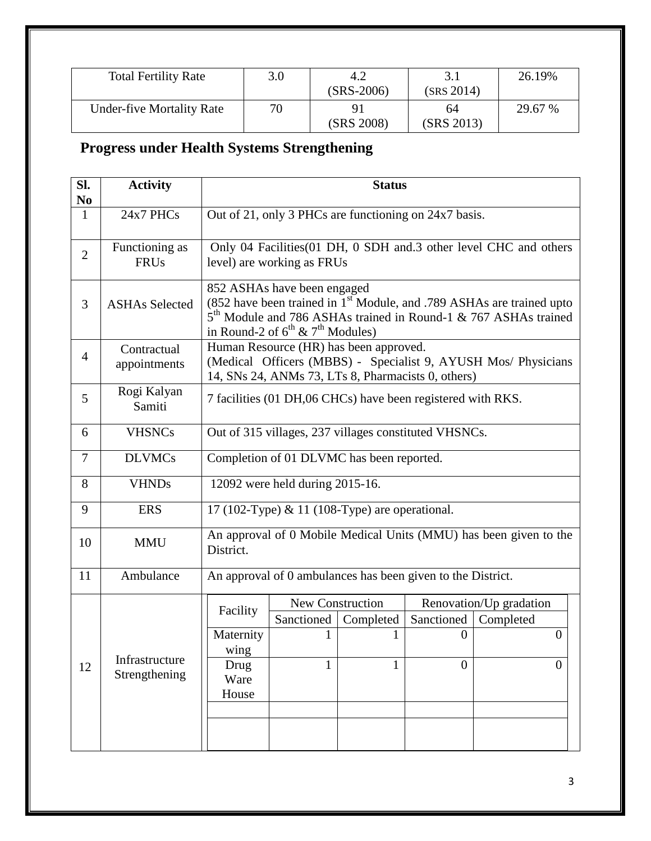| <b>Total Fertility Rate</b>      | 3.0 | 4.2<br>$(SRS-2006)$ | (SRS 2014)       | 26.19%  |
|----------------------------------|-----|---------------------|------------------|---------|
| <b>Under-five Mortality Rate</b> | 70  | Q.<br>(SRS 2008)    | 64<br>(SRS 2013) | 29.67 % |

# **Progress under Health Systems Strengthening**

| SI.<br>N <sub>0</sub> | <b>Activity</b>                 |                                                                                                                                                                                                                                               |                                                                                                 | <b>Status</b>    |                                                             |                                                                |
|-----------------------|---------------------------------|-----------------------------------------------------------------------------------------------------------------------------------------------------------------------------------------------------------------------------------------------|-------------------------------------------------------------------------------------------------|------------------|-------------------------------------------------------------|----------------------------------------------------------------|
| $\mathbf{1}$          | 24x7 PHCs                       | Out of 21, only 3 PHCs are functioning on 24x7 basis.                                                                                                                                                                                         |                                                                                                 |                  |                                                             |                                                                |
| $\overline{2}$        | Functioning as<br><b>FRUs</b>   |                                                                                                                                                                                                                                               | Only 04 Facilities (01 DH, 0 SDH and 3 other level CHC and others<br>level) are working as FRUs |                  |                                                             |                                                                |
| 3                     | <b>ASHAs Selected</b>           | 852 ASHAs have been engaged<br>(852 have been trained in 1 <sup>st</sup> Module, and .789 ASHAs are trained upto<br>5 <sup>th</sup> Module and 786 ASHAs trained in Round-1 & 767 ASHAs trained<br>in Round-2 of $6^{th}$ & $7^{th}$ Modules) |                                                                                                 |                  |                                                             |                                                                |
| $\overline{4}$        | Contractual<br>appointments     |                                                                                                                                                                                                                                               | Human Resource (HR) has been approved.                                                          |                  | 14, SNs 24, ANMs 73, LTs 8, Pharmacists 0, others)          | (Medical Officers (MBBS) - Specialist 9, AYUSH Mos/ Physicians |
| 5                     | Rogi Kalyan<br>Samiti           |                                                                                                                                                                                                                                               | 7 facilities (01 DH,06 CHCs) have been registered with RKS.                                     |                  |                                                             |                                                                |
| 6                     | <b>VHSNCs</b>                   |                                                                                                                                                                                                                                               |                                                                                                 |                  | Out of 315 villages, 237 villages constituted VHSNCs.       |                                                                |
| 7                     | <b>DLVMCs</b>                   |                                                                                                                                                                                                                                               | Completion of 01 DLVMC has been reported.                                                       |                  |                                                             |                                                                |
| 8                     | <b>VHNDs</b>                    | 12092 were held during 2015-16.                                                                                                                                                                                                               |                                                                                                 |                  |                                                             |                                                                |
| 9                     | <b>ERS</b>                      | 17 (102-Type) & 11 (108-Type) are operational.                                                                                                                                                                                                |                                                                                                 |                  |                                                             |                                                                |
| 10                    | <b>MMU</b>                      | An approval of 0 Mobile Medical Units (MMU) has been given to the<br>District.                                                                                                                                                                |                                                                                                 |                  |                                                             |                                                                |
| 11                    | Ambulance                       |                                                                                                                                                                                                                                               |                                                                                                 |                  | An approval of 0 ambulances has been given to the District. |                                                                |
|                       |                                 | Facility                                                                                                                                                                                                                                      |                                                                                                 | New Construction |                                                             | Renovation/Up gradation                                        |
|                       |                                 |                                                                                                                                                                                                                                               | Sanctioned                                                                                      | Completed        | Sanctioned                                                  | Completed                                                      |
|                       |                                 | Maternity<br>wing                                                                                                                                                                                                                             |                                                                                                 |                  | $\boldsymbol{0}$                                            | $\theta$                                                       |
| 12                    | Infrastructure<br>Strengthening | Drug<br>Ware<br>House                                                                                                                                                                                                                         | 1                                                                                               |                  | $\theta$                                                    | $\Omega$                                                       |
|                       |                                 |                                                                                                                                                                                                                                               |                                                                                                 |                  |                                                             |                                                                |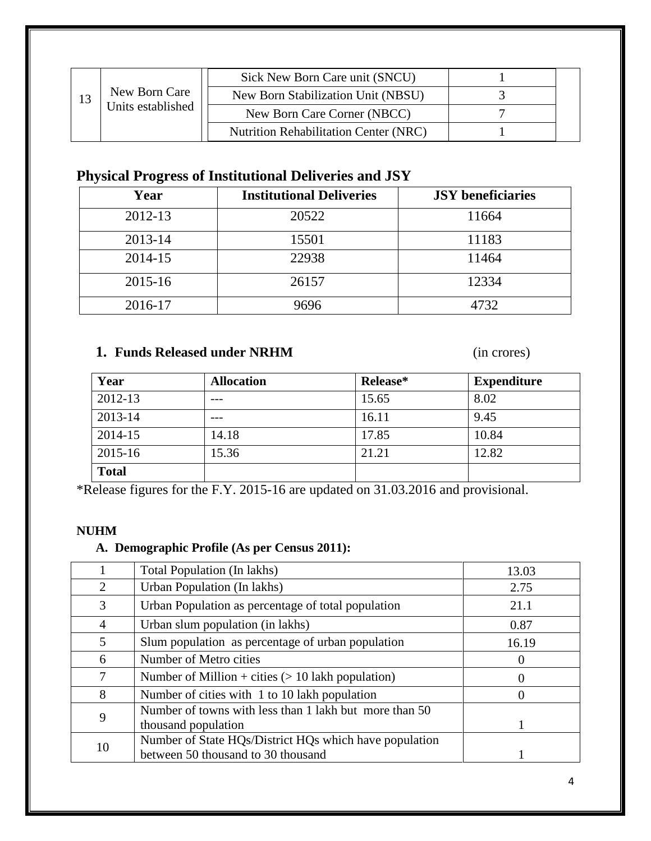|    |                   | Sick New Born Care unit (SNCU)               |  |
|----|-------------------|----------------------------------------------|--|
| 13 | New Born Care     | New Born Stabilization Unit (NBSU)           |  |
|    | Units established | New Born Care Corner (NBCC)                  |  |
|    |                   | <b>Nutrition Rehabilitation Center (NRC)</b> |  |

### **Physical Progress of Institutional Deliveries and JSY**

| Year        | <b>Institutional Deliveries</b> | <b>JSY</b> beneficiaries |
|-------------|---------------------------------|--------------------------|
| 2012-13     | 20522                           | 11664                    |
| 2013-14     | 15501                           | 11183                    |
| 2014-15     | 22938                           | 11464                    |
| $2015 - 16$ | 26157                           | 12334                    |
| 2016-17     | 9696                            | 4732                     |

### **1. Funds Released under NRHM** (in crores)

| Year         | <b>Allocation</b> | Release* | <b>Expenditure</b> |
|--------------|-------------------|----------|--------------------|
| 2012-13      |                   | 15.65    | 8.02               |
| 2013-14      | ---               | 16.11    | 9.45               |
| 2014-15      | 14.18             | 17.85    | 10.84              |
| $2015 - 16$  | 15.36             | 21.21    | 12.82              |
| <b>Total</b> |                   |          |                    |

\*Release figures for the F.Y. 2015-16 are updated on 31.03.2016 and provisional.

#### **NUHM**

### **A. Demographic Profile (As per Census 2011):**

|                | Total Population (In lakhs)                            | 13.03            |
|----------------|--------------------------------------------------------|------------------|
| $\overline{2}$ | Urban Population (In lakhs)                            | 2.75             |
| 3              | Urban Population as percentage of total population     | 21.1             |
| $\overline{4}$ | Urban slum population (in lakhs)                       | 0.87             |
| 5              | Slum population as percentage of urban population      | 16.19            |
| 6              | Number of Metro cities                                 | $\theta$         |
| 7              | Number of Million + cities $(> 10$ lakh population)    | $\theta$         |
| 8              | Number of cities with 1 to 10 lakh population          | $\left( \right)$ |
| 9              | Number of towns with less than 1 lakh but more than 50 |                  |
|                | thousand population                                    |                  |
|                | Number of State HQs/District HQs which have population |                  |
| 10             | between 50 thousand to 30 thousand                     |                  |